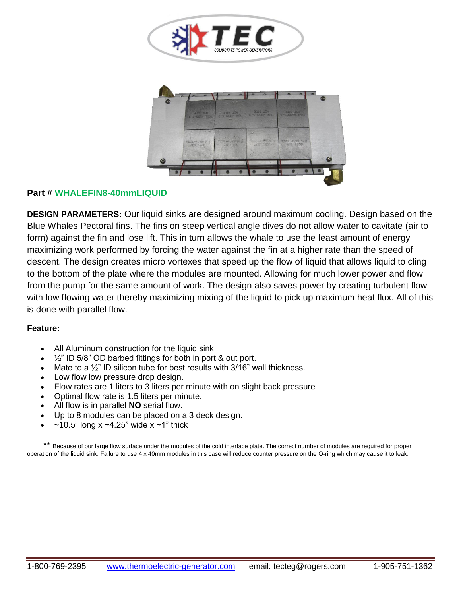



## **Part # WHALEFIN8-40mmLIQUID**

**DESIGN PARAMETERS:** Our liquid sinks are designed around maximum cooling. Design based on the Blue Whales Pectoral fins. The fins on steep vertical angle dives do not allow water to cavitate (air to form) against the fin and lose lift. This in turn allows the whale to use the least amount of energy maximizing work performed by forcing the water against the fin at a higher rate than the speed of descent. The design creates micro vortexes that speed up the flow of liquid that allows liquid to cling to the bottom of the plate where the modules are mounted. Allowing for much lower power and flow from the pump for the same amount of work. The design also saves power by creating turbulent flow with low flowing water thereby maximizing mixing of the liquid to pick up maximum heat flux. All of this is done with parallel flow.

## **Feature:**

- All Aluminum construction for the liquid sink
- $\frac{1}{2}$ " ID 5/8" OD barbed fittings for both in port & out port.
- Mate to a  $\frac{1}{2}$ " ID silicon tube for best results with 3/16" wall thickness.
- Low flow low pressure drop design.
- Flow rates are 1 liters to 3 liters per minute with on slight back pressure
- Optimal flow rate is 1.5 liters per minute.
- All flow is in parallel **NO** serial flow.
- Up to 8 modules can be placed on a 3 deck design.
- $\sim$ 10.5" long x  $\sim$ 4.25" wide x  $\sim$ 1" thick

 \*\* Because of our large flow surface under the modules of the cold interface plate. The correct number of modules are required for proper operation of the liquid sink. Failure to use 4 x 40mm modules in this case will reduce counter pressure on the O-ring which may cause it to leak.